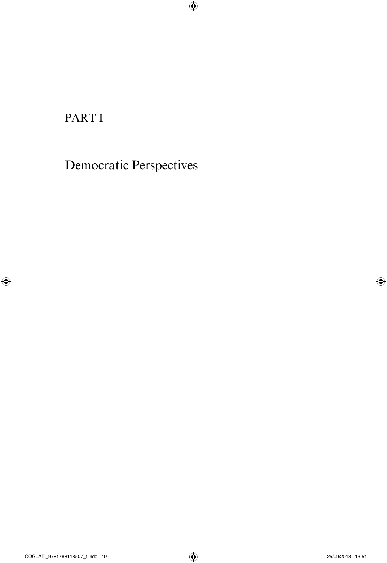PART I

 $\bigoplus$ 

Democratic Perspectives

 $\bigoplus$ 

 $\bigoplus$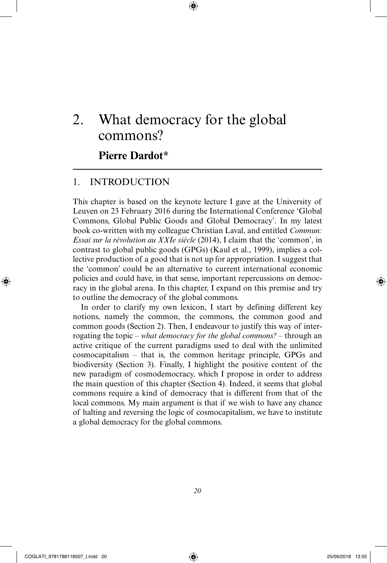# 2. What democracy for the global commons?

⊕

# **Pierre Dardot\***

# 1. INTRODUCTION

This chapter is based on the keynote lecture I gave at the University of Leuven on 23 February 2016 during the International Conference 'Global Commons, Global Public Goods and Global Democracy'. In my latest book co-written with my colleague Christian Laval, and entitled *Commun: Essai sur la révolution au XXIe siècle* (2014), I claim that the 'common', in contrast to global public goods (GPGs) (Kaul et al., 1999), implies a collective production of a good that is not up for appropriation. I suggest that the 'common' could be an alternative to current international economic policies and could have, in that sense, important repercussions on democracy in the global arena. In this chapter, I expand on this premise and try to outline the democracy of the global commons.

In order to clarify my own lexicon, I start by defining different key notions, namely the common, the commons, the common good and common goods (Section 2). Then, I endeavour to justify this way of interrogating the topic *– what democracy for the global commons? –* through an active critique of the current paradigms used to deal with the unlimited cosmocapitalism *–* that is, the common heritage principle, GPGs and biodiversity (Section 3). Finally, I highlight the positive content of the new paradigm of cosmodemocracy, which I propose in order to address the main question of this chapter (Section 4). Indeed, it seems that global commons require a kind of democracy that is different from that of the local commons. My main argument is that if we wish to have any chance of halting and reversing the logic of cosmocapitalism, we have to institute a global democracy for the global commons.

⊕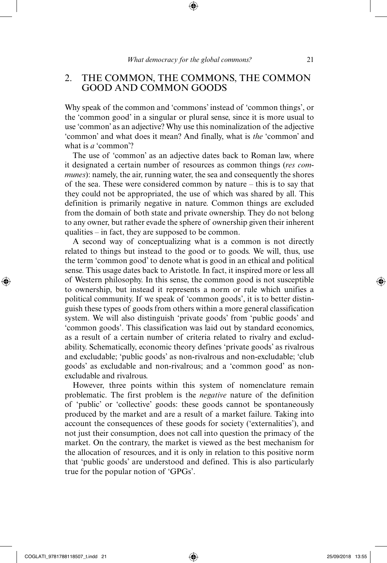# 2. THE COMMON, THE COMMONS, THE COMMON GOOD AND COMMON GOODS

Why speak of the common and 'commons' instead of 'common things', or the 'common good' in a singular or plural sense, since it is more usual to use 'common' as an adjective? Why use this nominalization of the adjective 'common' and what does it mean? And finally, what is *the* 'common' and what is *a* 'common'?

The use of 'common' as an adjective dates back to Roman law, where it designated a certain number of resources as common things (*res communes*): namely, the air, running water, the sea and consequently the shores of the sea. These were considered common by nature *–* this is to say that they could not be appropriated, the use of which was shared by all. This definition is primarily negative in nature. Common things are excluded from the domain of both state and private ownership. They do not belong to any owner, but rather evade the sphere of ownership given their inherent qualities – in fact, they are supposed to be common.

A second way of conceptualizing what is a common is not directly related to things but instead to the good or to goods. We will, thus, use the term 'common good' to denote what is good in an ethical and political sense. This usage dates back to Aristotle. In fact, it inspired more or less all of Western philosophy. In this sense, the common good is not susceptible to ownership, but instead it represents a norm or rule which unifies a political community. If we speak of 'common goods', it is to better distinguish these types of goods from others within a more general classification system. We will also distinguish 'private goods' from 'public goods' and 'common goods'. This classification was laid out by standard economics, as a result of a certain number of criteria related to rivalry and excludability. Schematically, economic theory defines 'private goods' as rivalrous and excludable; 'public goods' as non-rivalrous and non-excludable; 'club goods' as excludable and non-rivalrous; and a 'common good' as nonexcludable and rivalrous.

However, three points within this system of nomenclature remain problematic. The first problem is the *negative* nature of the definition of 'public' or 'collective' goods: these goods cannot be spontaneously produced by the market and are a result of a market failure. Taking into account the consequences of these goods for society ('externalities'), and not just their consumption, does not call into question the primacy of the market. On the contrary, the market is viewed as the best mechanism for the allocation of resources, and it is only in relation to this positive norm that 'public goods' are understood and defined. This is also particularly true for the popular notion of 'GPGs'.

⊕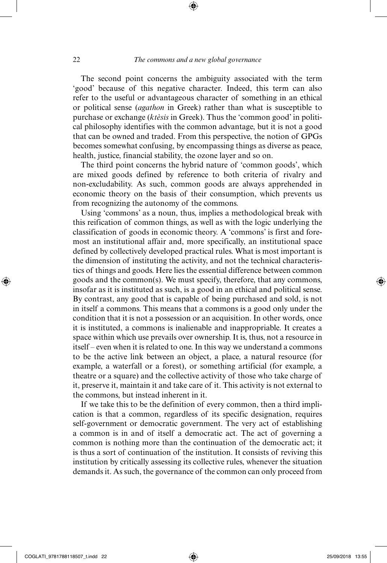The second point concerns the ambiguity associated with the term 'good' because of this negative character. Indeed, this term can also refer to the useful or advantageous character of something in an ethical or political sense (*agathon* in Greek) rather than what is susceptible to purchase or exchange (*ktèsis* in Greek). Thus the 'common good' in political philosophy identifies with the common advantage, but it is not a good that can be owned and traded. From this perspective, the notion of GPGs becomes somewhat confusing, by encompassing things as diverse as peace, health, justice, financial stability, the ozone layer and so on.

The third point concerns the hybrid nature of 'common goods', which are mixed goods defined by reference to both criteria of rivalry and non-excludability. As such, common goods are always apprehended in economic theory on the basis of their consumption, which prevents us from recognizing the autonomy of the commons.

Using 'commons' as a noun, thus, implies a methodological break with this reification of common things, as well as with the logic underlying the classification of goods in economic theory. A 'commons' is first and foremost an institutional affair and, more specifically, an institutional space defined by collectively developed practical rules. What is most important is the dimension of instituting the activity, and not the technical characteristics of things and goods. Here lies the essential difference between common goods and the common(s). We must specify, therefore, that any commons, insofar as it is instituted as such, is a good in an ethical and political sense. By contrast, any good that is capable of being purchased and sold, is not in itself a commons. This means that a commons is a good only under the condition that it is not a possession or an acquisition. In other words, once it is instituted, a commons is inalienable and inappropriable. It creates a space within which use prevails over ownership. It is, thus, not a resource in itself – even when it is related to one. In this way we understand a commons to be the active link between an object, a place, a natural resource (for example, a waterfall or a forest), or something artificial (for example, a theatre or a square) and the collective activity of those who take charge of it, preserve it, maintain it and take care of it. This activity is not external to the commons, but instead inherent in it.

If we take this to be the definition of every common, then a third implication is that a common, regardless of its specific designation, requires self-government or democratic government. The very act of establishing a common is in and of itself a democratic act. The act of governing a common is nothing more than the continuation of the democratic act; it is thus a sort of continuation of the institution. It consists of reviving this institution by critically assessing its collective rules, whenever the situation demands it. As such, the governance of the common can only proceed from

⊕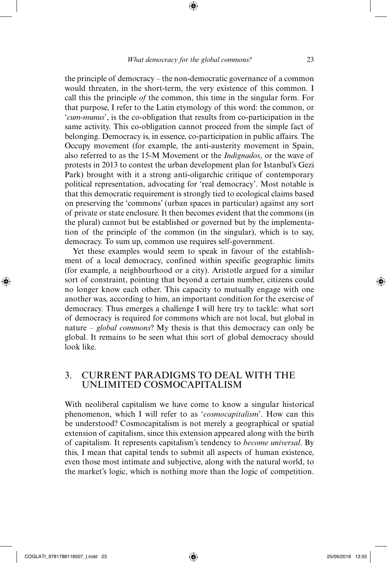the principle of democracy – the non-democratic governance of a common would threaten, in the short-term, the very existence of this common. I call this the principle *of* the common, this time in the singular form. For that purpose, I refer to the Latin etymology of this word: the common, or '*cum-munus*', is the co-obligation that results from co-participation in the same activity. This co-obligation cannot proceed from the simple fact of belonging. Democracy is, in essence, co-participation in public affairs. The Occupy movement (for example, the anti-austerity movement in Spain, also referred to as the 15-M Movement or the *Indignados*, or the wave of protests in 2013 to contest the urban development plan for Istanbul's Gezi Park) brought with it a strong anti-oligarchic critique of contemporary political representation, advocating for 'real democracy'. Most notable is that this democratic requirement is strongly tied to ecological claims based on preserving the 'commons' (urban spaces in particular) against any sort of private or state enclosure. It then becomes evident that the commons (in the plural) cannot but be established or governed but by the implementation of the principle of the common (in the singular), which is to say, democracy. To sum up, common use requires self-government.

Yet these examples would seem to speak in favour of the establishment of a local democracy, confined within specific geographic limits (for example, a neighbourhood or a city). Aristotle argued for a similar sort of constraint, pointing that beyond a certain number, citizens could no longer know each other. This capacity to mutually engage with one another was, according to him, an important condition for the exercise of democracy. Thus emerges a challenge I will here try to tackle: what sort of democracy is required for commons which are not local, but global in nature – *global commons*? My thesis is that this democracy can only be global. It remains to be seen what this sort of global democracy should look like.

# 3. CURRENT PARADIGMS TO DEAL WITH THE UNLIMITED COSMOCAPITALISM

With neoliberal capitalism we have come to know a singular historical phenomenon, which I will refer to as '*cosmocapitalism*'. How can this be understood? Cosmocapitalism is not merely a geographical or spatial extension of capitalism, since this extension appeared along with the birth of capitalism. It represents capitalism's tendency to *become universal*. By this, I mean that capital tends to submit all aspects of human existence, even those most intimate and subjective, along with the natural world, to the market's logic, which is nothing more than the logic of competition.

⊕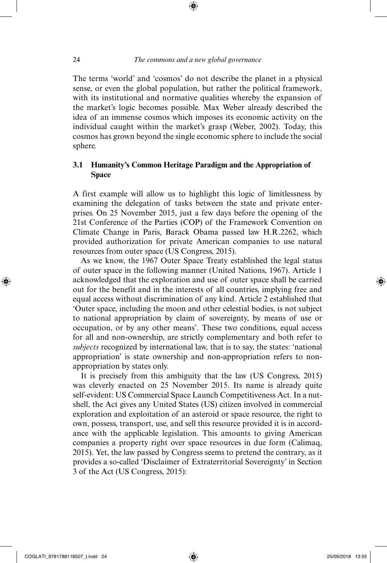⊕

The terms 'world' and 'cosmos' do not describe the planet in a physical sense, or even the global population, but rather the political framework, with its institutional and normative qualities whereby the expansion of the market's logic becomes possible. Max Weber already described the idea of an immense cosmos which imposes its economic activity on the individual caught within the market's grasp (Weber, 2002). Today, this cosmos has grown beyond the single economic sphere to include the social sphere.

## **3.1 Humanity's Common Heritage Paradigm and the Appropriation of Space**

A first example will allow us to highlight this logic of limitlessness by examining the delegation of tasks between the state and private enterprises. On 25 November 2015, just a few days before the opening of the 21st Conference of the Parties (COP) of the Framework Convention on Climate Change in Paris, Barack Obama passed law H.R.2262, which provided authorization for private American companies to use natural resources from outer space (US Congress, 2015).

As we know, the 1967 Outer Space Treaty established the legal status of outer space in the following manner (United Nations, 1967). Article 1 acknowledged that the exploration and use of outer space shall be carried out for the benefit and in the interests of all countries, implying free and equal access without discrimination of any kind. Article 2 established that 'Outer space, including the moon and other celestial bodies, is not subject to national appropriation by claim of sovereignty, by means of use or occupation, or by any other means'. These two conditions, equal access for all and non-ownership, are strictly complementary and both refer to *subjects* recognized by international law, that is to say, the states: 'national appropriation' is state ownership and non-appropriation refers to nonappropriation by states only.

It is precisely from this ambiguity that the law (US Congress, 2015) was cleverly enacted on 25 November 2015. Its name is already quite self-evident: US Commercial Space Launch Competitiveness Act. In a nutshell, the Act gives any United States (US) citizen involved in commercial exploration and exploitation of an asteroid or space resource, the right to own, possess, transport, use, and sell this resource provided it is in accordance with the applicable legislation. This amounts to giving American companies a property right over space resources in due form (Calimaq, 2015). Yet, the law passed by Congress seems to pretend the contrary, as it provides a so-called 'Disclaimer of Extraterritorial Sovereignty' in Section 3 of the Act (US Congress, 2015):

COGLATI\_9781788118507\_t.indd 24 25/09/2018 13:55

⊕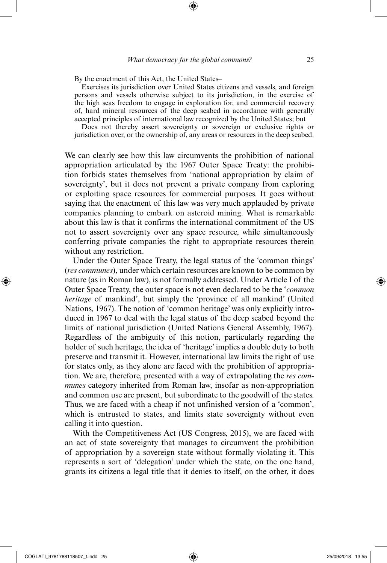By the enactment of this Act, the United States–

Exercises its jurisdiction over United States citizens and vessels, and foreign persons and vessels otherwise subject to its jurisdiction, in the exercise of the high seas freedom to engage in exploration for, and commercial recovery of, hard mineral resources of the deep seabed in accordance with generally accepted principles of international law recognized by the United States; but

Does not thereby assert sovereignty or sovereign or exclusive rights or jurisdiction over, or the ownership of, any areas or resources in the deep seabed.

We can clearly see how this law circumvents the prohibition of national appropriation articulated by the 1967 Outer Space Treaty: the prohibition forbids states themselves from 'national appropriation by claim of sovereignty', but it does not prevent a private company from exploring or exploiting space resources for commercial purposes. It goes without saying that the enactment of this law was very much applauded by private companies planning to embark on asteroid mining. What is remarkable about this law is that it confirms the international commitment of the US not to assert sovereignty over any space resource, while simultaneously conferring private companies the right to appropriate resources therein without any restriction.

Under the Outer Space Treaty, the legal status of the 'common things' (*res communes*), under which certain resources are known to be common by nature (as in Roman law), is not formally addressed. Under Article I of the Outer Space Treaty, the outer space is not even declared to be the '*common heritage* of mankind', but simply the 'province of all mankind' (United Nations, 1967). The notion of 'common heritage' was only explicitly introduced in 1967 to deal with the legal status of the deep seabed beyond the limits of national jurisdiction (United Nations General Assembly, 1967). Regardless of the ambiguity of this notion, particularly regarding the holder of such heritage, the idea of 'heritage' implies a double duty to both preserve and transmit it. However, international law limits the right of use for states only, as they alone are faced with the prohibition of appropriation. We are, therefore, presented with a way of extrapolating the *res communes* category inherited from Roman law, insofar as non-appropriation and common use are present, but subordinate to the goodwill of the states. Thus, we are faced with a cheap if not unfinished version of a 'common', which is entrusted to states, and limits state sovereignty without even calling it into question.

With the Competitiveness Act (US Congress, 2015), we are faced with an act of state sovereignty that manages to circumvent the prohibition of appropriation by a sovereign state without formally violating it. This represents a sort of 'delegation' under which the state, on the one hand, grants its citizens a legal title that it denies to itself, on the other, it does

⊕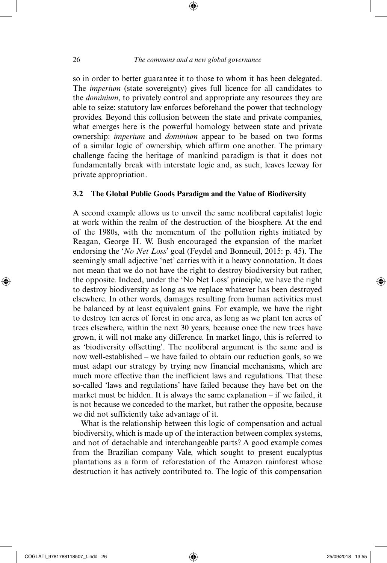so in order to better guarantee it to those to whom it has been delegated. The *imperium* (state sovereignty) gives full licence for all candidates to the *dominium*, to privately control and appropriate any resources they are able to seize: statutory law enforces beforehand the power that technology provides. Beyond this collusion between the state and private companies, what emerges here is the powerful homology between state and private ownership: *imperium* and *dominium* appear to be based on two forms of a similar logic of ownership, which affirm one another. The primary challenge facing the heritage of mankind paradigm is that it does not fundamentally break with interstate logic and, as such, leaves leeway for private appropriation.

#### **3.2 The Global Public Goods Paradigm and the Value of Biodiversity**

A second example allows us to unveil the same neoliberal capitalist logic at work within the realm of the destruction of the biosphere. At the end of the 1980s, with the momentum of the pollution rights initiated by Reagan, George H. W. Bush encouraged the expansion of the market endorsing the '*No Net Loss*' goal (Feydel and Bonneuil, 2015: p. 45). The seemingly small adjective 'net' carries with it a heavy connotation. It does not mean that we do not have the right to destroy biodiversity but rather, the opposite. Indeed, under the 'No Net Loss' principle, we have the right to destroy biodiversity as long as we replace whatever has been destroyed elsewhere. In other words, damages resulting from human activities must be balanced by at least equivalent gains. For example, we have the right to destroy ten acres of forest in one area, as long as we plant ten acres of trees elsewhere, within the next 30 years, because once the new trees have grown, it will not make any difference. In market lingo, this is referred to as 'biodiversity offsetting'. The neoliberal argument is the same and is now well-established – we have failed to obtain our reduction goals, so we must adapt our strategy by trying new financial mechanisms, which are much more effective than the inefficient laws and regulations. That these so-called 'laws and regulations' have failed because they have bet on the market must be hidden. It is always the same explanation – if we failed, it is not because we conceded to the market, but rather the opposite, because we did not sufficiently take advantage of it.

What is the relationship between this logic of compensation and actual biodiversity, which is made up of the interaction between complex systems, and not of detachable and interchangeable parts? A good example comes from the Brazilian company Vale, which sought to present eucalyptus plantations as a form of reforestation of the Amazon rainforest whose destruction it has actively contributed to. The logic of this compensation

⊕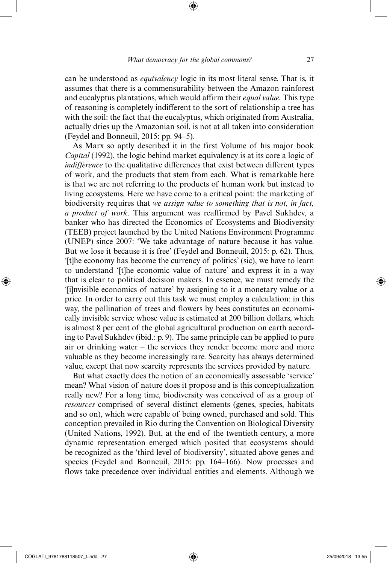can be understood as *equivalency* logic in its most literal sense. That is, it assumes that there is a commensurability between the Amazon rainforest and eucalyptus plantations, which would affirm their *equal value.* This type of reasoning is completely indifferent to the sort of relationship a tree has with the soil: the fact that the eucalyptus, which originated from Australia, actually dries up the Amazonian soil, is not at all taken into consideration (Feydel and Bonneuil, 2015: pp. 94–5).

As Marx so aptly described it in the first Volume of his major book *Capital* (1992), the logic behind market equivalency is at its core a logic of *indifference* to the qualitative differences that exist between different types of work, and the products that stem from each. What is remarkable here is that we are not referring to the products of human work but instead to living ecosystems. Here we have come to a critical point: the marketing of biodiversity requires that *we assign value to something that is not, in fact, a product of work*. This argument was reaffirmed by Pavel Sukhdev, a banker who has directed the Economics of Ecosystems and Biodiversity (TEEB) project launched by the United Nations Environment Programme (UNEP) since 2007: 'We take advantage of nature because it has value. But we lose it because it is free' (Feydel and Bonneuil, 2015: p. 62). Thus, '[t]he economy has become the currency of politics' (sic), we have to learn to understand '[t]he economic value of nature' and express it in a way that is clear to political decision makers. In essence, we must remedy the '[i]nvisible economics of nature' by assigning to it a monetary value or a price. In order to carry out this task we must employ a calculation: in this way, the pollination of trees and flowers by bees constitutes an economically invisible service whose value is estimated at 200 billion dollars, which is almost 8 per cent of the global agricultural production on earth according to Pavel Sukhdev (ibid.: p. 9). The same principle can be applied to pure air or drinking water – the services they render become more and more valuable as they become increasingly rare. Scarcity has always determined value, except that now scarcity represents the services provided by nature.

But what exactly does the notion of an economically assessable 'service' mean? What vision of nature does it propose and is this conceptualization really new? For a long time, biodiversity was conceived of as a group of *resources* comprised of several distinct elements (genes, species, habitats and so on), which were capable of being owned, purchased and sold. This conception prevailed in Rio during the Convention on Biological Diversity (United Nations, 1992). But, at the end of the twentieth century, a more dynamic representation emerged which posited that ecosystems should be recognized as the 'third level of biodiversity', situated above genes and species (Feydel and Bonneuil, 2015: pp. 164–166). Now processes and flows take precedence over individual entities and elements. Although we

⊕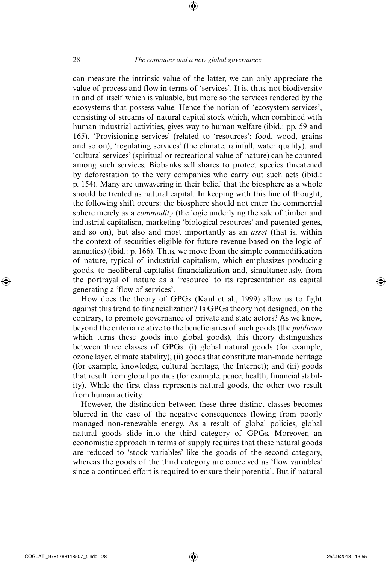⊕

can measure the intrinsic value of the latter, we can only appreciate the value of process and flow in terms of 'services'. It is, thus, not biodiversity in and of itself which is valuable, but more so the services rendered by the ecosystems that possess value. Hence the notion of 'ecosystem services', consisting of streams of natural capital stock which, when combined with human industrial activities, gives way to human welfare (ibid.: pp. 59 and 165). 'Provisioning services' (related to 'resources': food, wood, grains and so on), 'regulating services' (the climate, rainfall, water quality), and 'cultural services' (spiritual or recreational value of nature) can be counted among such services. Biobanks sell shares to protect species threatened by deforestation to the very companies who carry out such acts (ibid.: p. 154). Many are unwavering in their belief that the biosphere as a whole should be treated as natural capital. In keeping with this line of thought, the following shift occurs: the biosphere should not enter the commercial sphere merely as a *commodity* (the logic underlying the sale of timber and industrial capitalism, marketing 'biological resources' and patented genes, and so on), but also and most importantly as an *asset* (that is, within the context of securities eligible for future revenue based on the logic of annuities) (ibid.: p. 166). Thus, we move from the simple commodification of nature, typical of industrial capitalism, which emphasizes producing goods, to neoliberal capitalist financialization and, simultaneously, from the portrayal of nature as a 'resource' to its representation as capital generating a 'flow of services'.

How does the theory of GPGs (Kaul et al., 1999) allow us to fight against this trend to financialization? Is GPGs theory not designed, on the contrary, to promote governance of private and state actors? As we know, beyond the criteria relative to the beneficiaries of such goods (the *publicum* which turns these goods into global goods), this theory distinguishes between three classes of GPGs: (i) global natural goods (for example, ozone layer, climate stability); (ii) goods that constitute man-made heritage (for example, knowledge, cultural heritage, the Internet); and (iii) goods that result from global politics (for example, peace, health, financial stability). While the first class represents natural goods, the other two result from human activity.

However, the distinction between these three distinct classes becomes blurred in the case of the negative consequences flowing from poorly managed non-renewable energy. As a result of global policies, global natural goods slide into the third category of GPGs. Moreover, an economistic approach in terms of supply requires that these natural goods are reduced to 'stock variables' like the goods of the second category, whereas the goods of the third category are conceived as 'flow variables' since a continued effort is required to ensure their potential. But if natural

⊕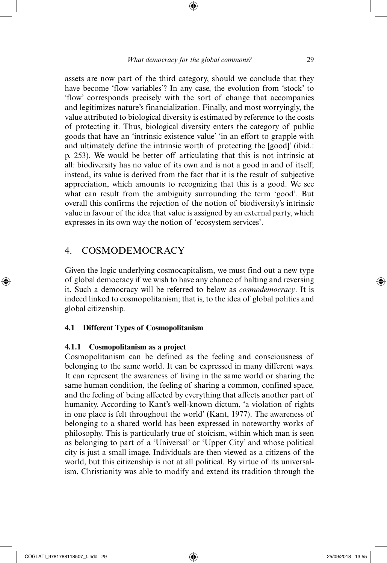assets are now part of the third category, should we conclude that they have become 'flow variables'? In any case, the evolution from 'stock' to 'flow' corresponds precisely with the sort of change that accompanies and legitimizes nature's financialization. Finally, and most worryingly, the value attributed to biological diversity is estimated by reference to the costs of protecting it. Thus, biological diversity enters the category of public goods that have an 'intrinsic existence value' 'in an effort to grapple with and ultimately define the intrinsic worth of protecting the [good]' (ibid.: p. 253). We would be better off articulating that this is not intrinsic at all: biodiversity has no value of its own and is not a good in and of itself; instead, its value is derived from the fact that it is the result of subjective appreciation, which amounts to recognizing that this is a good. We see what can result from the ambiguity surrounding the term 'good'. But overall this confirms the rejection of the notion of biodiversity's intrinsic value in favour of the idea that value is assigned by an external party, which expresses in its own way the notion of 'ecosystem services'.

# 4. COSMODEMOCRACY

Given the logic underlying cosmocapitalism, we must find out a new type of global democracy if we wish to have any chance of halting and reversing it. Such a democracy will be referred to below as *cosmodemocracy*. It is indeed linked to cosmopolitanism; that is, to the idea of global politics and global citizenship.

#### **4.1 Different Types of Cosmopolitanism**

#### **4.1.1 Cosmopolitanism as a project**

Cosmopolitanism can be defined as the feeling and consciousness of belonging to the same world. It can be expressed in many different ways. It can represent the awareness of living in the same world or sharing the same human condition, the feeling of sharing a common, confined space, and the feeling of being affected by everything that affects another part of humanity. According to Kant's well-known dictum, 'a violation of rights in one place is felt throughout the world' (Kant, 1977). The awareness of belonging to a shared world has been expressed in noteworthy works of philosophy. This is particularly true of stoicism, within which man is seen as belonging to part of a 'Universal' or 'Upper City' and whose political city is just a small image. Individuals are then viewed as a citizens of the world, but this citizenship is not at all political. By virtue of its universalism, Christianity was able to modify and extend its tradition through the

⊕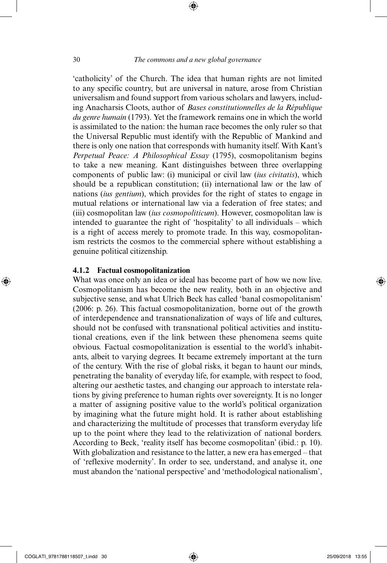'catholicity' of the Church. The idea that human rights are not limited to any specific country, but are universal in nature, arose from Christian universalism and found support from various scholars and lawyers, including Anacharsis Cloots, author of *Bases constitutionnelles de la République du genre humain* (1793). Yet the framework remains one in which the world is assimilated to the nation: the human race becomes the only ruler so that the Universal Republic must identify with the Republic of Mankind and there is only one nation that corresponds with humanity itself. With Kant's *Perpetual Peace: A Philosophical Essay* (1795), cosmopolitanism begins to take a new meaning. Kant distinguishes between three overlapping components of public law: (i) municipal or civil law (*ius civitatis*), which should be a republican constitution; (ii) international law or the law of nations (*ius gentium*), which provides for the right of states to engage in mutual relations or international law via a federation of free states; and (iii) cosmopolitan law (*ius cosmopoliticum*). However, cosmopolitan law is intended to guarantee the right of 'hospitality' to all individuals – which is a right of access merely to promote trade. In this way, cosmopolitanism restricts the cosmos to the commercial sphere without establishing a genuine political citizenship.

#### **4.1.2 Factual cosmopolitanization**

What was once only an idea or ideal has become part of how we now live. Cosmopolitanism has become the new reality, both in an objective and subjective sense, and what Ulrich Beck has called 'banal cosmopolitanism' (2006: p. 26). This factual cosmopolitanization, borne out of the growth of interdependence and transnationalization of ways of life and cultures, should not be confused with transnational political activities and institutional creations, even if the link between these phenomena seems quite obvious. Factual cosmopolitanization is essential to the world's inhabitants, albeit to varying degrees. It became extremely important at the turn of the century. With the rise of global risks, it began to haunt our minds, penetrating the banality of everyday life, for example, with respect to food, altering our aesthetic tastes, and changing our approach to interstate relations by giving preference to human rights over sovereignty. It is no longer a matter of assigning positive value to the world's political organization by imagining what the future might hold. It is rather about establishing and characterizing the multitude of processes that transform everyday life up to the point where they lead to the relativization of national borders. According to Beck, 'reality itself has become cosmopolitan' (ibid.: p. 10). With globalization and resistance to the latter, a new era has emerged – that of 'reflexive modernity'. In order to see, understand, and analyse it, one must abandon the 'national perspective' and 'methodological nationalism',

⊕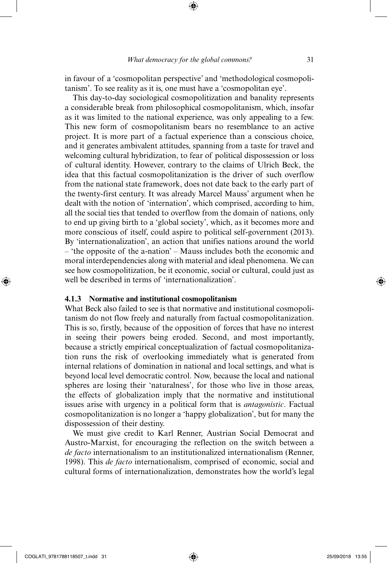in favour of a 'cosmopolitan perspective' and 'methodological cosmopolitanism'. To see reality as it is, one must have a 'cosmopolitan eye'.

This day-to-day sociological cosmopolitization and banality represents a considerable break from philosophical cosmopolitanism, which, insofar as it was limited to the national experience, was only appealing to a few. This new form of cosmopolitanism bears no resemblance to an active project. It is more part of a factual experience than a conscious choice, and it generates ambivalent attitudes, spanning from a taste for travel and welcoming cultural hybridization, to fear of political dispossession or loss of cultural identity. However, contrary to the claims of Ulrich Beck, the idea that this factual cosmopolitanization is the driver of such overflow from the national state framework, does not date back to the early part of the twenty-first century. It was already Marcel Mauss' argument when he dealt with the notion of 'internation', which comprised, according to him, all the social ties that tended to overflow from the domain of nations, only to end up giving birth to a 'global society', which, as it becomes more and more conscious of itself, could aspire to political self-government (2013). By 'internationalization', an action that unifies nations around the world – 'the opposite of the a-nation' – Mauss includes both the economic and moral interdependencies along with material and ideal phenomena. We can see how cosmopolitization, be it economic, social or cultural, could just as well be described in terms of 'internationalization'.

#### **4.1.3 Normative and institutional cosmopolitanism**

What Beck also failed to see is that normative and institutional cosmopolitanism do not flow freely and naturally from factual cosmopolitanization. This is so, firstly, because of the opposition of forces that have no interest in seeing their powers being eroded. Second, and most importantly, because a strictly empirical conceptualization of factual cosmopolitanization runs the risk of overlooking immediately what is generated from internal relations of domination in national and local settings, and what is beyond local level democratic control. Now, because the local and national spheres are losing their 'naturalness', for those who live in those areas, the effects of globalization imply that the normative and institutional issues arise with urgency in a political form that is *antagonistic*. Factual cosmopolitanization is no longer a 'happy globalization', but for many the dispossession of their destiny.

We must give credit to Karl Renner, Austrian Social Democrat and Austro-Marxist, for encouraging the reflection on the switch between a *de facto* internationalism to an institutionalized internationalism (Renner, 1998). This *de facto* internationalism, comprised of economic, social and cultural forms of internationalization, demonstrates how the world's legal

⊕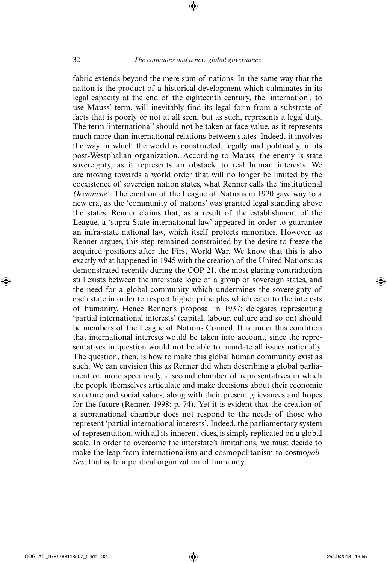⊕

fabric extends beyond the mere sum of nations. In the same way that the nation is the product of a historical development which culminates in its legal capacity at the end of the eighteenth century, the 'internation', to use Mauss' term, will inevitably find its legal form from a substrate of facts that is poorly or not at all seen, but as such, represents a legal duty. The term 'international' should not be taken at face value, as it represents much more than international relations between states. Indeed, it involves the way in which the world is constructed, legally and politically, in its post-Westphalian organization. According to Mauss, the enemy is state sovereignty, as it represents an obstacle to real human interests. We are moving towards a world order that will no longer be limited by the coexistence of sovereign nation states, what Renner calls the 'institutional *Oecumene*'. The creation of the League of Nations in 1920 gave way to a new era, as the 'community of nations' was granted legal standing above the states. Renner claims that, as a result of the establishment of the League, a 'supra-State international law' appeared in order to guarantee an infra-state national law, which itself protects minorities. However, as Renner argues, this step remained constrained by the desire to freeze the acquired positions after the First World War. We know that this is also exactly what happened in 1945 with the creation of the United Nations: as demonstrated recently during the COP 21, the most glaring contradiction still exists between the interstate logic of a group of sovereign states, and the need for a global community which undermines the sovereignty of each state in order to respect higher principles which cater to the interests of humanity. Hence Renner's proposal in 1937: delegates representing 'partial international interests' (capital, labour, culture and so on) should be members of the League of Nations Council. It is under this condition that international interests would be taken into account, since the representatives in question would not be able to mandate all issues nationally. The question, then, is how to make this global human community exist as such. We can envision this as Renner did when describing a global parliament or, more specifically, a second chamber of representatives in which the people themselves articulate and make decisions about their economic structure and social values, along with their present grievances and hopes for the future (Renner, 1998: p. 74). Yet it is evident that the creation of a supranational chamber does not respond to the needs of those who represent 'partial international interests'. Indeed, the parliamentary system of representation, with all its inherent vices, is simply replicated on a global scale. In order to overcome the interstate's limitations, we must decide to make the leap from internationalism and cosmopolitanism to cosmo*politics*; that is, to a political organization of humanity.

⊕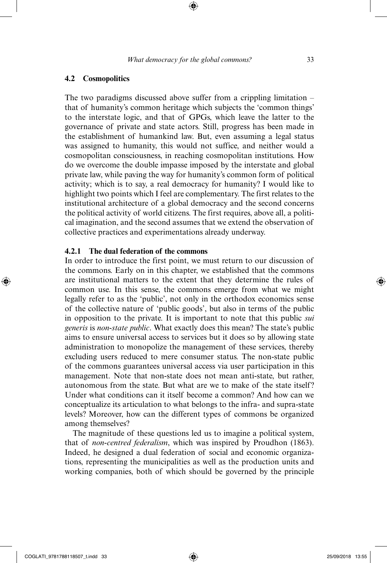#### **4.2 Cosmopolitics**

The two paradigms discussed above suffer from a crippling limitation – that of humanity's common heritage which subjects the 'common things' to the interstate logic, and that of GPGs, which leave the latter to the governance of private and state actors. Still, progress has been made in the establishment of humankind law. But, even assuming a legal status was assigned to humanity, this would not suffice, and neither would a cosmopolitan consciousness, in reaching cosmopolitan institutions. How do we overcome the double impasse imposed by the interstate and global private law, while paving the way for humanity's common form of political activity; which is to say, a real democracy for humanity? I would like to highlight two points which I feel are complementary. The first relates to the institutional architecture of a global democracy and the second concerns the political activity of world citizens. The first requires, above all, a political imagination, and the second assumes that we extend the observation of collective practices and experimentations already underway.

#### **4.2.1 The dual federation of the commons**

In order to introduce the first point, we must return to our discussion of the commons. Early on in this chapter, we established that the commons are institutional matters to the extent that they determine the rules of common use. In this sense, the commons emerge from what we might legally refer to as the 'public', not only in the orthodox economics sense of the collective nature of 'public goods', but also in terms of the public in opposition to the private. It is important to note that this public *sui generis* is *non-state public*. What exactly does this mean? The state's public aims to ensure universal access to services but it does so by allowing state administration to monopolize the management of these services, thereby excluding users reduced to mere consumer status. The non-state public of the commons guarantees universal access via user participation in this management. Note that non-state does not mean anti-state, but rather, autonomous from the state. But what are we to make of the state itself? Under what conditions can it itself become a common? And how can we conceptualize its articulation to what belongs to the infra- and supra-state levels? Moreover, how can the different types of commons be organized among themselves?

The magnitude of these questions led us to imagine a political system, that of *non-centred federalism*, which was inspired by Proudhon (1863). Indeed, he designed a dual federation of social and economic organizations, representing the municipalities as well as the production units and working companies, both of which should be governed by the principle

⊕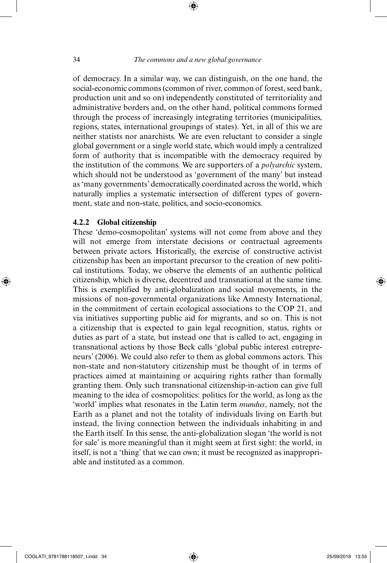⊕

of democracy. In a similar way, we can distinguish, on the one hand, the social-economic commons (common of river, common of forest, seed bank, production unit and so on) independently constituted of territoriality and administrative borders and, on the other hand, political commons formed through the process of increasingly integrating territories (municipalities, regions, states, international groupings of states). Yet, in all of this we are neither statists nor anarchists. We are even reluctant to consider a single global government or a single world state, which would imply a centralized form of authority that is incompatible with the democracy required by the institution of the commons. We are supporters of a *polyarchic* system, which should not be understood as 'government of the many' but instead as 'many governments' democratically coordinated across the world, which naturally implies a systematic intersection of different types of government, state and non-state, politics, and socio-economics.

#### **4.2.2 Global citizenship**

These 'demo-cosmopolitan' systems will not come from above and they will not emerge from interstate decisions or contractual agreements between private actors. Historically, the exercise of constructive activist citizenship has been an important precursor to the creation of new political institutions. Today, we observe the elements of an authentic political citizenship, which is diverse, decentred and transnational at the same time. This is exemplified by anti-globalization and social movements, in the missions of non-governmental organizations like Amnesty International, in the commitment of certain ecological associations to the COP 21, and via initiatives supporting public aid for migrants, and so on. This is not a citizenship that is expected to gain legal recognition, status, rights or duties as part of a state, but instead one that is called to act, engaging in transnational actions by those Beck calls 'global public interest entrepreneurs' (2006). We could also refer to them as global commons actors. This non-state and non-statutory citizenship must be thought of in terms of practices aimed at maintaining or acquiring rights rather than formally granting them. Only such transnational citizenship-in-action can give full meaning to the idea of cosmopolitics: politics for the world, as long as the 'world' implies what resonates in the Latin term *mundus*, namely, not the Earth as a planet and not the totality of individuals living on Earth but instead, the living connection between the individuals inhabiting in and the Earth itself. In this sense, the anti-globalization slogan 'the world is not for sale' is more meaningful than it might seem at first sight: the world, in itself, is not a 'thing' that we can own; it must be recognized as inappropriable and instituted as a common.

⊕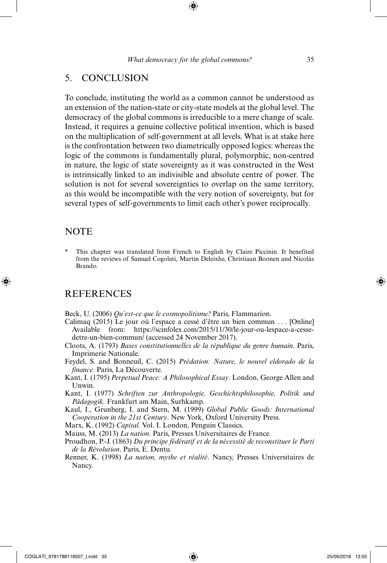# 5. CONCLUSION

To conclude, instituting the world as a common cannot be understood as an extension of the nation-state or city-state models at the global level. The democracy of the global commons is irreducible to a mere change of scale. Instead, it requires a genuine collective political invention, which is based on the multiplication of self-government at all levels. What is at stake here is the confrontation between two diametrically opposed logics: whereas the logic of the commons is fundamentally plural, polymorphic, non-centred in nature, the logic of state sovereignty as it was constructed in the West is intrinsically linked to an indivisible and absolute centre of power. The solution is not for several sovereignties to overlap on the same territory, as this would be incompatible with the very notion of sovereignty, but for several types of self-governments to limit each other's power reciprocally.

### **NOTE**

⊕

This chapter was translated from French to English by Claire Piccinin. It benefited from the reviews of Samuel Cogolati, Martin Deleixhe, Christiaan Boonen and Nicolás Brando.

# **REFERENCES**

Beck, U. (2006) *Qu'est-ce que le cosmopolitisme?* Paris, Flammarion.

- Calimaq (2015) Le jour où l'espace a cessé d'être un bien commun . . . [Online] Available from: https://scinfolex.com/2015/11/30/le-jour-ou-lespace-a-cessedetre-un-bien-commun/ (accessed 24 November 2017).
- Cloots, A. (1793) *Bases constitutionnelles de la république du genre humain*. Paris, Imprimerie Nationale.
- Feydel, S. and Bonneuil, C. (2015) *Prédation: Nature, le nouvel eldorado de la finance*. Paris, La Découverte.
- Kant, I. (1795) *Perpetual Peace: A Philosophical Essay*. London, George Allen and Unwin.
- Kant, I. (1977) *Schriften zur Anthropologie, Geschichtsphilosophie, Politik und Pädagogik.* Frankfurt am Main, Surhkamp.

Kaul, I., Grunberg, I. and Stern, M. (1999) *Global Public Goods: International Cooperation in the 21st Century*. New York, Oxford University Press.

Marx, K. (1992) *Capital.* Vol. I. London, Penguin Classics.

Mauss, M. (2013) *La nation*. Paris, Presses Universitaires de France.

Proudhon, P.-J. (1863) *Du principe fédératif et de la nécessité de reconstituer le Parti de la Révolution*. Paris, E. Dentu.

Renner, K. (1998) *La nation, mythe et réalité*. Nancy, Presses Universitaires de Nancy.